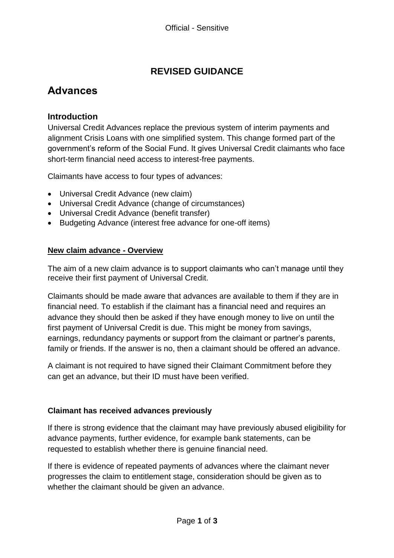## **REVISED GUIDANCE**

# **Advances**

### **Introduction**

 government's reform of the Social Fund. It gives Universal Credit claimants who face Universal Credit Advances replace the previous system of interim payments and alignment Crisis Loans with one simplified system. This change formed part of the short-term financial need access to interest-free payments.

Claimants have access to four types of advances:

- Universal Credit Advance (new claim)
- Universal Credit Advance (change of circumstances)
- Universal Credit Advance (benefit transfer)
- Budgeting Advance (interest free advance for one-off items)

#### **New claim advance - Overview**

 The aim of a new claim advance is to support claimants who can't manage until they receive their first payment of Universal Credit.

receive their first payment of Universal Credit.<br>Claimants should be made aware that advances are available to them if they are in financial need. To establish if the claimant has a financial need and requires an advance they should then be asked if they have enough money to live on until the earnings, redundancy payments or support from the claimant or partner's parents, family or friends. If the answer is no, then a claimant should be offered an advance. first payment of Universal Credit is due. This might be money from savings,

A claimant is not required to have signed their Claimant Commitment before they can get an advance, but their ID must have been verified.

#### **Claimant has received advances previously**

 advance payments, further evidence, for example bank statements, can be requested to establish whether there is genuine financial need. If there is strong evidence that the claimant may have previously abused eligibility for

 progresses the claim to entitlement stage, consideration should be given as to If there is evidence of repeated payments of advances where the claimant never whether the claimant should be given an advance.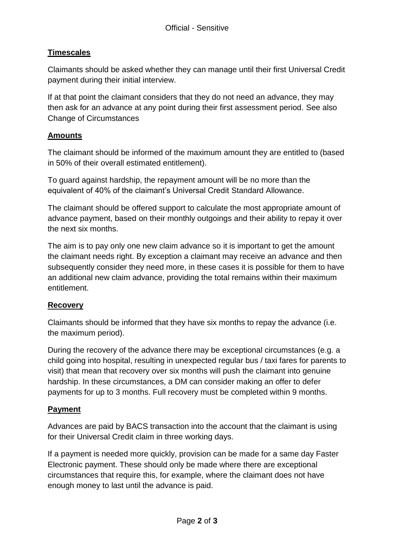## **Timescales**

payment during their initial interview. Claimants should be asked whether they can manage until their first Universal Credit

payment during their initial interview.<br>If at that point the claimant considers that they do not need an advance, they may then ask for an advance at any point during their first assessment period. See also Change of Circumstances

#### **Amounts**

 in 50% of their overall estimated entitlement). The claimant should be informed of the maximum amount they are entitled to (based

To guard against hardship, the repayment amount will be no more than the equivalent of 40% of the claimant's Universal Credit Standard Allowance.

 The claimant should be offered support to calculate the most appropriate amount of advance payment, based on their monthly outgoings and their ability to repay it over the next six months.

 The aim is to pay only one new claim advance so it is important to get the amount the claimant needs right. By exception a claimant may receive an advance and then subsequently consider they need more, in these cases it is possible for them to have an additional new claim advance, providing the total remains within their maximum entitlement.

#### **Recovery**

Claimants should be informed that they have six months to repay the advance (i.e. the maximum period).

 During the recovery of the advance there may be exceptional circumstances (e.g. a payments for up to 3 months. Full recovery must be completed within 9 months. child going into hospital, resulting in unexpected regular bus / taxi fares for parents to visit) that mean that recovery over six months will push the claimant into genuine hardship. In these circumstances, a DM can consider making an offer to defer

## **Payment**

 Advances are paid by BACS transaction into the account that the claimant is using for their Universal Credit claim in three working days.

 If a payment is needed more quickly, provision can be made for a same day Faster Electronic payment. These should only be made where there are exceptional circumstances that require this, for example, where the claimant does not have enough money to last until the advance is paid.